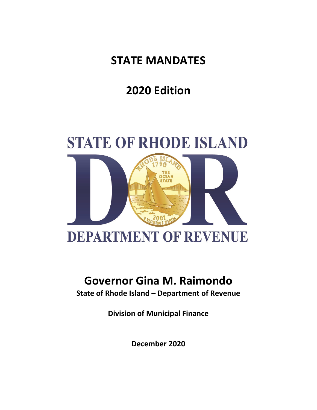**STATE MANDATES**

**2020 Edition**



# **Governor Gina M. Raimondo**

**State of Rhode Island – Department of Revenue**

**Division of Municipal Finance**

**December 2020**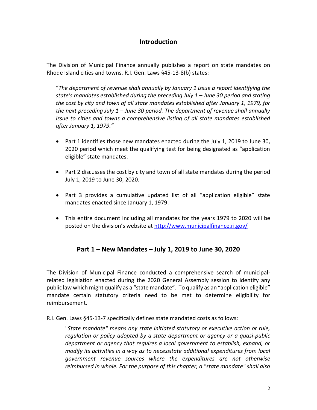## **Introduction**

The Division of Municipal Finance annually publishes a report on state mandates on Rhode Island cities and towns. R.I. Gen. Laws §45-13-8(b) states:

"*The department of revenue shall annually by January 1 issue a report identifying the state's mandates established during the preceding July 1 – June 30 period and stating the cost by city and town of all state mandates established after January 1, 1979, for the next preceding July 1 – June 30 period. The department of revenue shall annually issue to cities and towns a comprehensive listing of all state mandates established after January 1, 1979."*

- Part 1 identifies those new mandates enacted during the July 1, 2019 to June 30, 2020 period which meet the qualifying test for being designated as "application eligible" state mandates.
- Part 2 discusses the cost by city and town of all state mandates during the period July 1, 2019 to June 30, 2020.
- Part 3 provides a cumulative updated list of all "application eligible" state mandates enacted since January 1, 1979.
- This entire document including all mandates for the years 1979 to 2020 will be posted on the division's website at<http://www.municipalfinance.ri.gov/>

## **Part 1 – New Mandates – July 1, 2019 to June 30, 2020**

The Division of Municipal Finance conducted a comprehensive search of municipalrelated legislation enacted during the 2020 General Assembly session to identify any public law which might qualify as a "state mandate". To qualify as an "application eligible" mandate certain statutory criteria need to be met to determine eligibility for reimbursement.

R.I. Gen. Laws §45-13-7 specifically defines state mandated costs as follows:

"*State mandate" means any state initiated statutory or executive action or rule, regulation or policy adopted by a state department or agency or a quasi-public department or agency that requires a local government to establish, expand, or modify its activities in a way as to necessitate additional expenditures from local government revenue sources where the expenditures are not otherwise reimbursed in whole. For the purpose of this chapter, a "state mandate" shall also*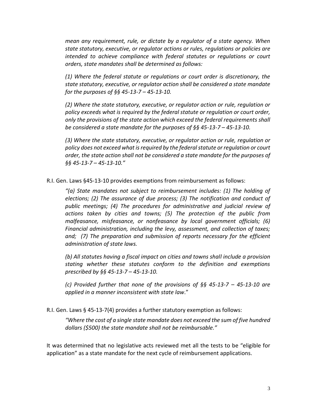*mean any requirement, rule, or dictate by a regulator of a state agency. When state statutory, executive, or regulator actions or rules, regulations or policies are intended to achieve compliance with federal statutes or regulations or court orders, state mandates shall be determined as follows:* 

*(1) Where the federal statute or regulations or court order is discretionary, the state statutory, executive, or regulator action shall be considered a state mandate for the purposes of §§ 45-13-7 – 45-13-10.* 

*(2) Where the state statutory, executive, or regulator action or rule, regulation or policy exceeds what is required by the federal statute or regulation or court order, only the provisions of the state action which exceed the federal requirements shall be considered a state mandate for the purposes of §§ 45-13-7 – 45-13-10.* 

*(3) Where the state statutory, executive, or regulator action or rule, regulation or policy does not exceed what is required by the federal statute or regulation or court order, the state action shall not be considered a state mandate for the purposes of §§ 45-13-7 – 45-13-10."* 

R.I. Gen. Laws §45-13-10 provides exemptions from reimbursement as follows:

*"(a) State mandates not subject to reimbursement includes: (1) The holding of elections; (2) The assurance of due process; (3) The notification and conduct of public meetings; (4) The procedures for administrative and judicial review of actions taken by cities and towns; (5) The protection of the public from malfeasance, misfeasance, or nonfeasance by local government officials; (6) Financial administration, including the levy, assessment, and collection of taxes; and; (7) The preparation and submission of reports necessary for the efficient administration of state laws.*

*(b) All statutes having a fiscal impact on cities and towns shall include a provision stating whether these statutes conform to the definition and exemptions prescribed by §§ 45-13-7 – 45-13-10.*

*(c) Provided further that none of the provisions of §§ 45-13-7 – 45-13-10 are applied in a manner inconsistent with state law*."

R.I. Gen. Laws § 45-13-7(4) provides a further statutory exemption as follows:

*"Where the cost of a single state mandate does not exceed the sum of five hundred dollars (\$500) the state mandate shall not be reimbursable."*

It was determined that no legislative acts reviewed met all the tests to be "eligible for application" as a state mandate for the next cycle of reimbursement applications.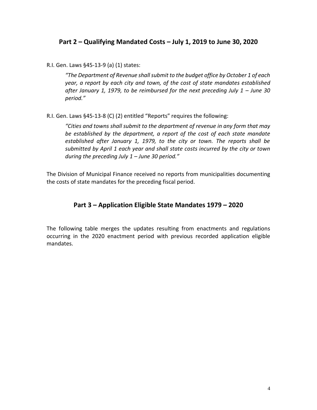### **Part 2 – Qualifying Mandated Costs – July 1, 2019 to June 30, 2020**

R.I. Gen. Laws §45-13-9 (a) (1) states:

*"The Department of Revenue shall submit to the budget office by October 1 of each year, a report by each city and town, of the cost of state mandates established*  after January 1, 1979, to be reimbursed for the next preceding July 1 – June 30 *period."*

R.I. Gen. Laws §45-13-8 (C) (2) entitled "Reports" requires the following:

*"Cities and towns shall submit to the department of revenue in any form that may be established by the department, a report of the cost of each state mandate established after January 1, 1979, to the city or town. The reports shall be submitted by April 1 each year and shall state costs incurred by the city or town during the preceding July 1 – June 30 period."*

The Division of Municipal Finance received no reports from municipalities documenting the costs of state mandates for the preceding fiscal period.

### **Part 3 – Application Eligible State Mandates 1979 – 2020**

The following table merges the updates resulting from enactments and regulations occurring in the 2020 enactment period with previous recorded application eligible mandates.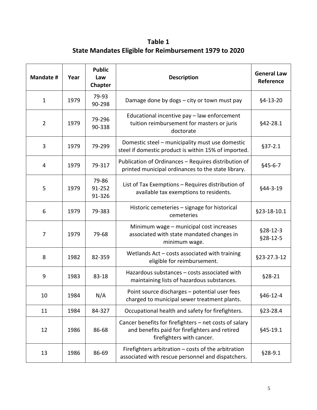**Table 1 State Mandates Eligible for Reimbursement 1979 to 2020**

| <b>Mandate #</b> | Year | <b>Public</b><br>Law<br>Chapter | <b>Description</b>                                                                                                                    | <b>General Law</b><br>Reference |
|------------------|------|---------------------------------|---------------------------------------------------------------------------------------------------------------------------------------|---------------------------------|
| $\mathbf{1}$     | 1979 | 79-93<br>90-298                 | Damage done by dogs - city or town must pay                                                                                           | §4-13-20                        |
| $\overline{2}$   | 1979 | 79-296<br>90-338                | Educational incentive pay - law enforcement<br>tuition reimbursement for masters or juris<br>doctorate                                | §42-28.1                        |
| 3                | 1979 | 79-299                          | Domestic steel - municipality must use domestic<br>steel if domestic product is within 15% of imported.                               | $§37 - 2.1$                     |
| $\overline{4}$   | 1979 | 79-317                          | Publication of Ordinances - Requires distribution of<br>printed municipal ordinances to the state library.                            | $§45-6-7$                       |
| 5                | 1979 | 79-86<br>91-252<br>91-326       | List of Tax Exemptions - Requires distribution of<br>available tax exemptions to residents.                                           | §44-3-19                        |
| 6                | 1979 | 79-383                          | Historic cemeteries - signage for historical<br>cemeteries                                                                            | §23-18-10.1                     |
| 7                | 1979 | 79-68                           | Minimum wage - municipal cost increases<br>associated with state mandated changes in<br>minimum wage.                                 | $$28-12-3$<br>$§28-12-5$        |
| 8                | 1982 | 82-359                          | Wetlands Act - costs associated with training<br>eligible for reimbursement.                                                          | §23-27.3-12                     |
| 9                | 1983 | 83-18                           | Hazardous substances - costs associated with<br>maintaining lists of hazardous substances.                                            | §28-21                          |
| 10               | 1984 | N/A                             | Point source discharges - potential user fees<br>charged to municipal sewer treatment plants.                                         | §46-12-4                        |
| 11               | 1984 | 84-327                          | Occupational health and safety for firefighters.                                                                                      | §23-28.4                        |
| 12               | 1986 | 86-68                           | Cancer benefits for firefighters - net costs of salary<br>and benefits paid for firefighters and retired<br>firefighters with cancer. | §45-19.1                        |
| 13               | 1986 | 86-69                           | Firefighters arbitration - costs of the arbitration<br>associated with rescue personnel and dispatchers.                              | §28-9.1                         |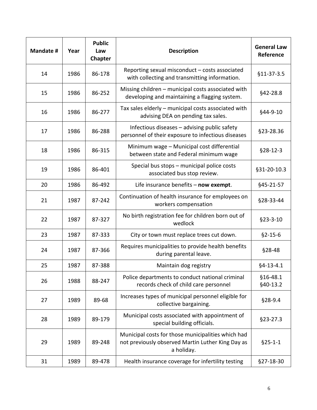| <b>Mandate #</b> | Year | <b>Public</b><br>Law<br>Chapter | <b>Description</b>                                                                                                    | <b>General Law</b><br>Reference |
|------------------|------|---------------------------------|-----------------------------------------------------------------------------------------------------------------------|---------------------------------|
| 14               | 1986 | 86-178                          | Reporting sexual misconduct - costs associated<br>with collecting and transmitting information.                       | $$11-37-3.5$                    |
| 15               | 1986 | 86-252                          | Missing children - municipal costs associated with<br>developing and maintaining a flagging system.                   | §42-28.8                        |
| 16               | 1986 | 86-277                          | Tax sales elderly - municipal costs associated with<br>advising DEA on pending tax sales.                             | §44-9-10                        |
| 17               | 1986 | 86-288                          | Infectious diseases - advising public safety<br>personnel of their exposure to infectious diseases                    | §23-28.36                       |
| 18               | 1986 | 86-315                          | Minimum wage - Municipal cost differential<br>between state and Federal minimum wage                                  | $$28-12-3$                      |
| 19               | 1986 | 86-401                          | Special bus stops - municipal police costs<br>associated bus stop review.                                             | §31-20-10.3                     |
| 20               | 1986 | 86-492                          | Life insurance benefits - now exempt.                                                                                 | §45-21-57                       |
| 21               | 1987 | 87-242                          | Continuation of health insurance for employees on<br>workers compensation                                             | §28-33-44                       |
| 22               | 1987 | 87-327                          | No birth registration fee for children born out of<br>wedlock                                                         | $§23-3-10$                      |
| 23               | 1987 | 87-333                          | City or town must replace trees cut down.                                                                             | $$2-15-6$                       |
| 24               | 1987 | 87-366                          | Requires municipalities to provide health benefits<br>during parental leave.                                          | §28-48                          |
| 25               | 1987 | 87-388                          | Maintain dog registry                                                                                                 | $§4 - 13 - 4.1$                 |
| 26               | 1988 | 88-247                          | Police departments to conduct national criminal<br>records check of child care personnel                              | §16-48.1<br>§40-13.2            |
| 27               | 1989 | 89-68                           | Increases types of municipal personnel eligible for<br>collective bargaining.                                         | §28-9.4                         |
| 28               | 1989 | 89-179                          | Municipal costs associated with appointment of<br>special building officials.                                         | $§23-27.3$                      |
| 29               | 1989 | 89-248                          | Municipal costs for those municipalities which had<br>not previously observed Martin Luther King Day as<br>a holiday. | $§25 - 1 - 1$                   |
| 31               | 1989 | 89-478                          | Health insurance coverage for infertility testing                                                                     | §27-18-30                       |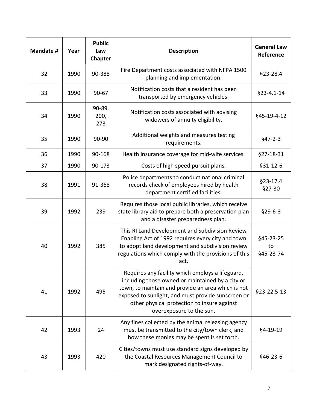| Mandate # | Year | <b>Public</b><br>Law<br><b>Chapter</b> | <b>Description</b>                                                                                                                                                                                                                                                                          | <b>General Law</b><br>Reference |
|-----------|------|----------------------------------------|---------------------------------------------------------------------------------------------------------------------------------------------------------------------------------------------------------------------------------------------------------------------------------------------|---------------------------------|
| 32        | 1990 | 90-388                                 | Fire Department costs associated with NFPA 1500<br>planning and implementation.                                                                                                                                                                                                             | $§23 - 28.4$                    |
| 33        | 1990 | 90-67                                  | Notification costs that a resident has been<br>transported by emergency vehicles.                                                                                                                                                                                                           | §23-4.1-14                      |
| 34        | 1990 | 90-89,<br>200,<br>273                  | Notification costs associated with advising<br>widowers of annuity eligibility.                                                                                                                                                                                                             | §45-19-4-12                     |
| 35        | 1990 | 90-90                                  | Additional weights and measures testing<br>requirements.                                                                                                                                                                                                                                    | $§47-2-3$                       |
| 36        | 1990 | 90-168                                 | Health insurance coverage for mid-wife services.                                                                                                                                                                                                                                            | §27-18-31                       |
| 37        | 1990 | 90-173                                 | Costs of high speed pursuit plans.                                                                                                                                                                                                                                                          | $§31 - 12 - 6$                  |
| 38        | 1991 | 91-368                                 | Police departments to conduct national criminal<br>records check of employees hired by health<br>department certified facilities.                                                                                                                                                           | $§23-17.4$<br>§27-30            |
| 39        | 1992 | 239                                    | Requires those local public libraries, which receive<br>state library aid to prepare both a preservation plan<br>and a disaster preparedness plan.                                                                                                                                          | $$29-6-3$                       |
| 40        | 1992 | 385                                    | This RI Land Development and Subdivision Review<br>Enabling Act of 1992 requires every city and town<br>to adopt land development and subdivision review<br>regulations which comply with the provisions of this<br>act.                                                                    | §45-23-25<br>to<br>§45-23-74    |
| 41        | 1992 | 495                                    | Requires any facility which employs a lifeguard,<br>including those owned or maintained by a city or<br>town, to maintain and provide an area which is not<br>exposed to sunlight, and must provide sunscreen or<br>other physical protection to insure against<br>overexposure to the sun. | §23-22.5-13                     |
| 42        | 1993 | 24                                     | Any fines collected by the animal releasing agency<br>must be transmitted to the city/town clerk, and<br>how these monies may be spent is set forth.                                                                                                                                        | §4-19-19                        |
| 43        | 1993 | 420                                    | Cities/towns must use standard signs developed by<br>the Coastal Resources Management Council to<br>mark designated rights-of-way.                                                                                                                                                          | \$46-23-6                       |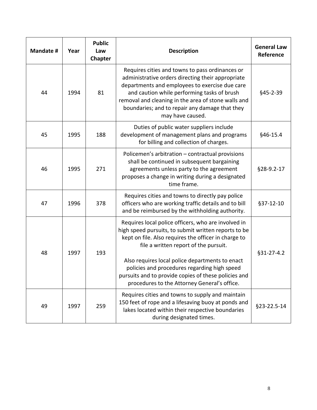| Mandate # | Year | <b>Public</b><br>Law<br>Chapter | <b>Description</b>                                                                                                                                                                                                                                                                                                                                                                                                      | <b>General Law</b><br>Reference |
|-----------|------|---------------------------------|-------------------------------------------------------------------------------------------------------------------------------------------------------------------------------------------------------------------------------------------------------------------------------------------------------------------------------------------------------------------------------------------------------------------------|---------------------------------|
| 44        | 1994 | 81                              | Requires cities and towns to pass ordinances or<br>administrative orders directing their appropriate<br>departments and employees to exercise due care<br>and caution while performing tasks of brush<br>removal and cleaning in the area of stone walls and<br>boundaries; and to repair any damage that they<br>may have caused.                                                                                      | §45-2-39                        |
| 45        | 1995 | 188                             | Duties of public water suppliers include<br>development of management plans and programs<br>for billing and collection of charges.                                                                                                                                                                                                                                                                                      | §46-15.4                        |
| 46        | 1995 | 271                             | Policemen's arbitration - contractual provisions<br>shall be continued in subsequent bargaining<br>agreements unless party to the agreement<br>proposes a change in writing during a designated<br>time frame.                                                                                                                                                                                                          | §28-9.2-17                      |
| 47        | 1996 | 378                             | Requires cities and towns to directly pay police<br>officers who are working traffic details and to bill<br>and be reimbursed by the withholding authority.                                                                                                                                                                                                                                                             | §37-12-10                       |
| 48        | 1997 | 193                             | Requires local police officers, who are involved in<br>high speed pursuits, to submit written reports to be<br>kept on file. Also requires the officer in charge to<br>file a written report of the pursuit.<br>Also requires local police departments to enact<br>policies and procedures regarding high speed<br>pursuits and to provide copies of these policies and<br>procedures to the Attorney General's office. | §31-27-4.2                      |
| 49        | 1997 | 259                             | Requires cities and towns to supply and maintain<br>150 feet of rope and a lifesaving buoy at ponds and<br>lakes located within their respective boundaries<br>during designated times.                                                                                                                                                                                                                                 | §23-22.5-14                     |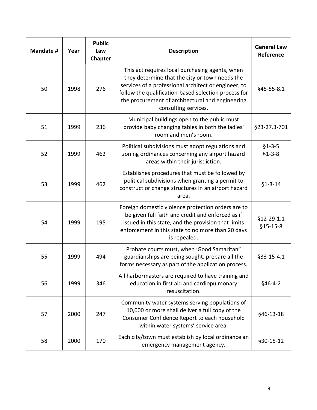| <b>Mandate #</b> | Year | <b>Public</b><br>Law<br>Chapter | <b>Description</b>                                                                                                                                                                                                                                                                            | <b>General Law</b><br>Reference |
|------------------|------|---------------------------------|-----------------------------------------------------------------------------------------------------------------------------------------------------------------------------------------------------------------------------------------------------------------------------------------------|---------------------------------|
| 50               | 1998 | 276                             | This act requires local purchasing agents, when<br>they determine that the city or town needs the<br>services of a professional architect or engineer, to<br>follow the qualification-based selection process for<br>the procurement of architectural and engineering<br>consulting services. | §45-55-8.1                      |
| 51               | 1999 | 236                             | Municipal buildings open to the public must<br>provide baby changing tables in both the ladies'<br>room and men's room.                                                                                                                                                                       | §23-27.3-701                    |
| 52               | 1999 | 462                             | Political subdivisions must adopt regulations and<br>zoning ordinances concerning any airport hazard<br>areas within their jurisdiction.                                                                                                                                                      | $$1-3-5$<br>$$1 - 3 - 8$        |
| 53               | 1999 | 462                             | Establishes procedures that must be followed by<br>political subdivisions when granting a permit to<br>construct or change structures in an airport hazard<br>area.                                                                                                                           | $$1 - 3 - 14$                   |
| 54               | 1999 | 195                             | Foreign domestic violence protection orders are to<br>be given full faith and credit and enforced as if<br>issued in this state, and the provision that limits<br>enforcement in this state to no more than 20 days<br>is repealed.                                                           | $§12 - 29 - 1.1$<br>$$15-15-8$  |
| 55               | 1999 | 494                             | Probate courts must, when 'Good Samaritan"<br>guardianships are being sought, prepare all the<br>forms necessary as part of the application process.                                                                                                                                          | §33-15-4.1                      |
| 56               | 1999 | 346                             | All harbormasters are required to have training and<br>education in first aid and cardiopulmonary<br>resuscitation.                                                                                                                                                                           | $§46-4-2$                       |
| 57               | 2000 | 247                             | Community water systems serving populations of<br>10,000 or more shall deliver a full copy of the<br>Consumer Confidence Report to each household<br>within water systems' service area.                                                                                                      | §46-13-18                       |
| 58               | 2000 | 170                             | Each city/town must establish by local ordinance an<br>emergency management agency.                                                                                                                                                                                                           | §30-15-12                       |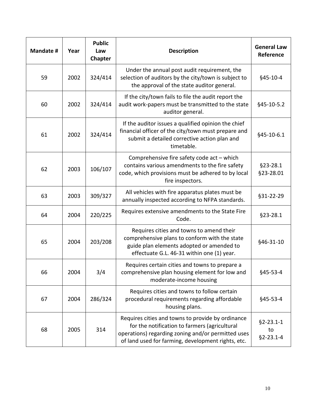| Mandate # | Year | <b>Public</b><br>Law<br>Chapter | <b>Description</b>                                                                                                                                                                                             | <b>General Law</b><br>Reference          |
|-----------|------|---------------------------------|----------------------------------------------------------------------------------------------------------------------------------------------------------------------------------------------------------------|------------------------------------------|
| 59        | 2002 | 324/414                         | Under the annual post audit requirement, the<br>selection of auditors by the city/town is subject to<br>the approval of the state auditor general.                                                             | §45-10-4                                 |
| 60        | 2002 | 324/414                         | If the city/town fails to file the audit report the<br>audit work-papers must be transmitted to the state<br>auditor general.                                                                                  | §45-10-5.2                               |
| 61        | 2002 | 324/414                         | If the auditor issues a qualified opinion the chief<br>financial officer of the city/town must prepare and<br>submit a detailed corrective action plan and<br>timetable.                                       | §45-10-6.1                               |
| 62        | 2003 | 106/107                         | Comprehensive fire safety code act - which<br>contains various amendments to the fire safety<br>code, which provisions must be adhered to by local<br>fire inspectors.                                         | $§23 - 28.1$<br>§23-28.01                |
| 63        | 2003 | 309/327                         | All vehicles with fire apparatus plates must be<br>annually inspected according to NFPA standards.                                                                                                             | §31-22-29                                |
| 64        | 2004 | 220/225                         | Requires extensive amendments to the State Fire<br>Code.                                                                                                                                                       | §23-28.1                                 |
| 65        | 2004 | 203/208                         | Requires cities and towns to amend their<br>comprehensive plans to conform with the state<br>guide plan elements adopted or amended to<br>effectuate G.L. 46-31 within one (1) year.                           | §46-31-10                                |
| 66        | 2004 | 3/4                             | Requires certain cities and towns to prepare a<br>comprehensive plan housing element for low and<br>moderate-income housing                                                                                    | §45-53-4                                 |
| 67        | 2004 | 286/324                         | Requires cities and towns to follow certain<br>procedural requirements regarding affordable<br>housing plans.                                                                                                  | §45-53-4                                 |
| 68        | 2005 | 314                             | Requires cities and towns to provide by ordinance<br>for the notification to farmers (agricultural<br>operations) regarding zoning and/or permitted uses<br>of land used for farming, development rights, etc. | $§2 - 23.1 - 1$<br>to<br>$§2 - 23.1 - 4$ |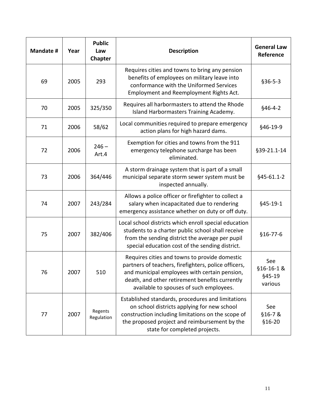| <b>Mandate #</b> | Year | <b>Public</b><br>Law<br>Chapter | <b>Description</b>                                                                                                                                                                                                                                  | <b>General Law</b><br>Reference       |
|------------------|------|---------------------------------|-----------------------------------------------------------------------------------------------------------------------------------------------------------------------------------------------------------------------------------------------------|---------------------------------------|
| 69               | 2005 | 293                             | Requires cities and towns to bring any pension<br>benefits of employees on military leave into<br>conformance with the Uniformed Services<br>Employment and Reemployment Rights Act.                                                                | $$36-5-3$                             |
| 70               | 2005 | 325/350                         | Requires all harbormasters to attend the Rhode<br>Island Harbormasters Training Academy.                                                                                                                                                            | $§46-4-2$                             |
| 71               | 2006 | 58/62                           | Local communities required to prepare emergency<br>action plans for high hazard dams.                                                                                                                                                               | §46-19-9                              |
| 72               | 2006 | $246 -$<br>Art.4                | Exemption for cities and towns from the 911<br>emergency telephone surcharge has been<br>eliminated.                                                                                                                                                | §39-21.1-14                           |
| 73               | 2006 | 364/446                         | A storm drainage system that is part of a small<br>municipal separate storm sewer system must be<br>inspected annually.                                                                                                                             | §45-61.1-2                            |
| 74               | 2007 | 243/284                         | Allows a police officer or firefighter to collect a<br>salary when incapacitated due to rendering<br>emergency assistance whether on duty or off duty.                                                                                              | §45-19-1                              |
| 75               | 2007 | 382/406                         | Local school districts which enroll special education<br>students to a charter public school shall receive<br>from the sending district the average per pupil<br>special education cost of the sending district.                                    | $$16-77-6$                            |
| 76               | 2007 | 510                             | Requires cities and towns to provide domestic<br>partners of teachers, firefighters, police officers,<br>and municipal employees with certain pension,<br>death, and other retirement benefits currently<br>available to spouses of such employees. | See<br>§16-16-1&<br>§45-19<br>various |
| 77               | 2007 | Regents<br>Regulation           | Established standards, procedures and limitations<br>on school districts applying for new school<br>construction including limitations on the scope of<br>the proposed project and reimbursement by the<br>state for completed projects.            | See<br>§16-7&<br>$$16-20$             |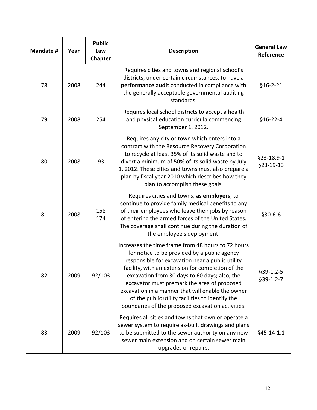| <b>Mandate #</b> | Year | <b>Public</b><br>Law<br>Chapter | <b>Description</b>                                                                                                                                                                                                                                                                                                                                                                                                                                                        | <b>General Law</b><br>Reference |
|------------------|------|---------------------------------|---------------------------------------------------------------------------------------------------------------------------------------------------------------------------------------------------------------------------------------------------------------------------------------------------------------------------------------------------------------------------------------------------------------------------------------------------------------------------|---------------------------------|
| 78               | 2008 | 244                             | Requires cities and towns and regional school's<br>districts, under certain circumstances, to have a<br>performance audit conducted in compliance with<br>the generally acceptable governmental auditing<br>standards.                                                                                                                                                                                                                                                    | $$16-2-21$                      |
| 79               | 2008 | 254                             | Requires local school districts to accept a health<br>and physical education curricula commencing<br>September 1, 2012.                                                                                                                                                                                                                                                                                                                                                   | $$16-22-4$                      |
| 80               | 2008 | 93                              | Requires any city or town which enters into a<br>contract with the Resource Recovery Corporation<br>to recycle at least 35% of its solid waste and to<br>divert a minimum of 50% of its solid waste by July<br>1, 2012. These cities and towns must also prepare a<br>plan by fiscal year 2010 which describes how they<br>plan to accomplish these goals.                                                                                                                | §23-18.9-1<br>§23-19-13         |
| 81               | 2008 | 158<br>174                      | Requires cities and towns, as employers, to<br>continue to provide family medical benefits to any<br>of their employees who leave their jobs by reason<br>of entering the armed forces of the United States.<br>The coverage shall continue during the duration of<br>the employee's deployment.                                                                                                                                                                          | $$30-6-6$                       |
| 82               | 2009 | 92/103                          | Increases the time frame from 48 hours to 72 hours<br>for notice to be provided by a public agency<br>responsible for excavation near a public utility<br>facility, with an extension for completion of the<br>excavation from 30 days to 60 days; also, the<br>excavator must premark the area of proposed<br>excavation in a manner that will enable the owner<br>of the public utility facilities to identify the<br>boundaries of the proposed excavation activities. | $§39-1.2-5$<br>$§39-1.2-7$      |
| 83               | 2009 | 92/103                          | Requires all cities and towns that own or operate a<br>sewer system to require as-built drawings and plans<br>to be submitted to the sewer authority on any new<br>sewer main extension and on certain sewer main<br>upgrades or repairs.                                                                                                                                                                                                                                 | §45-14-1.1                      |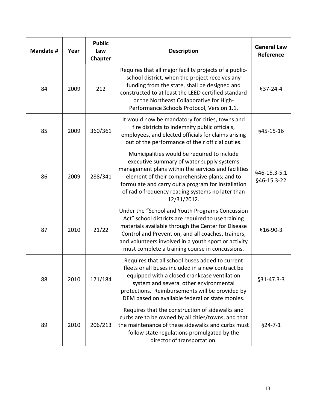| <b>Mandate #</b> | Year | <b>Public</b><br>Law<br><b>Chapter</b> | <b>Description</b>                                                                                                                                                                                                                                                                                                           | <b>General Law</b><br>Reference |
|------------------|------|----------------------------------------|------------------------------------------------------------------------------------------------------------------------------------------------------------------------------------------------------------------------------------------------------------------------------------------------------------------------------|---------------------------------|
| 84               | 2009 | 212                                    | Requires that all major facility projects of a public-<br>school district, when the project receives any<br>funding from the state, shall be designed and<br>constructed to at least the LEED certified standard<br>or the Northeast Collaborative for High-<br>Performance Schools Protocol, Version 1.1.                   | $§37-24-4$                      |
| 85               | 2009 | 360/361                                | It would now be mandatory for cities, towns and<br>fire districts to indemnify public officials,<br>employees, and elected officials for claims arising<br>out of the performance of their official duties.                                                                                                                  | §45-15-16                       |
| 86               | 2009 | 288/341                                | Municipalities would be required to include<br>executive summary of water supply systems<br>management plans within the services and facilities<br>element of their comprehensive plans; and to<br>formulate and carry out a program for installation<br>of radio frequency reading systems no later than<br>12/31/2012.     | §46-15.3-5.1<br>§46-15.3-22     |
| 87               | 2010 | 21/22                                  | Under the "School and Youth Programs Concussion<br>Act" school districts are required to use training<br>materials available through the Center for Disease<br>Control and Prevention, and all coaches, trainers,<br>and volunteers involved in a youth sport or activity<br>must complete a training course in concussions. | §16-90-3                        |
| 88               | 2010 | 171/184                                | Requires that all school buses added to current<br>fleets or all buses included in a new contract be<br>equipped with a closed crankcase ventilation<br>system and several other environmental<br>protections. Reimbursements will be provided by<br>DEM based on available federal or state monies.                         | $§31 - 47.3 - 3$                |
| 89               | 2010 | 206/213                                | Requires that the construction of sidewalks and<br>curbs are to be owned by all cities/towns, and that<br>the maintenance of these sidewalks and curbs must<br>follow state regulations promulgated by the<br>director of transportation.                                                                                    | $§24 - 7 - 1$                   |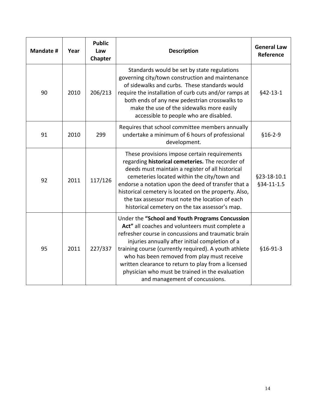| Mandate # | Year | <b>Public</b><br>Law<br>Chapter | <b>Description</b>                                                                                                                                                                                                                                                                                                                                                                                                                                               | <b>General Law</b><br>Reference |
|-----------|------|---------------------------------|------------------------------------------------------------------------------------------------------------------------------------------------------------------------------------------------------------------------------------------------------------------------------------------------------------------------------------------------------------------------------------------------------------------------------------------------------------------|---------------------------------|
| 90        | 2010 | 206/213                         | Standards would be set by state regulations<br>governing city/town construction and maintenance<br>of sidewalks and curbs. These standards would<br>require the installation of curb cuts and/or ramps at<br>both ends of any new pedestrian crosswalks to<br>make the use of the sidewalks more easily<br>accessible to people who are disabled.                                                                                                                | $§42-13-1$                      |
| 91        | 2010 | 299                             | Requires that school committee members annually<br>undertake a minimum of 6 hours of professional<br>development.                                                                                                                                                                                                                                                                                                                                                | $$16-2-9$                       |
| 92        | 2011 | 117/126                         | These provisions impose certain requirements<br>regarding historical cemeteries. The recorder of<br>deeds must maintain a register of all historical<br>cemeteries located within the city/town and<br>endorse a notation upon the deed of transfer that a<br>historical cemetery is located on the property. Also,<br>the tax assessor must note the location of each<br>historical cemetery on the tax assessor's map.                                         | §23-18-10.1<br>§34-11-1.5       |
| 95        | 2011 | 227/337                         | Under the "School and Youth Programs Concussion<br>Act" all coaches and volunteers must complete a<br>refresher course in concussions and traumatic brain<br>injuries annually after initial completion of a<br>training course (currently required). A youth athlete<br>who has been removed from play must receive<br>written clearance to return to play from a licensed<br>physician who must be trained in the evaluation<br>and management of concussions. | $$16-91-3$                      |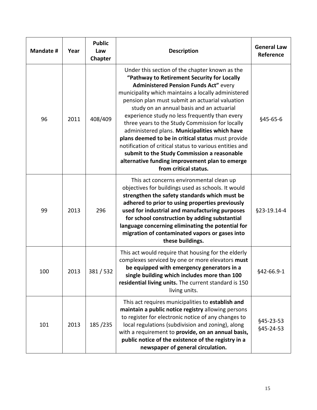| Mandate # | Year | <b>Public</b><br>Law<br>Chapter | <b>Description</b>                                                                                                                                                                                                                                                                                                                                                                                                                                                                                                                                                                                                                                                                                    | <b>General Law</b><br>Reference |
|-----------|------|---------------------------------|-------------------------------------------------------------------------------------------------------------------------------------------------------------------------------------------------------------------------------------------------------------------------------------------------------------------------------------------------------------------------------------------------------------------------------------------------------------------------------------------------------------------------------------------------------------------------------------------------------------------------------------------------------------------------------------------------------|---------------------------------|
| 96        | 2011 | 408/409                         | Under this section of the chapter known as the<br>"Pathway to Retirement Security for Locally<br><b>Administered Pension Funds Act" every</b><br>municipality which maintains a locally administered<br>pension plan must submit an actuarial valuation<br>study on an annual basis and an actuarial<br>experience study no less frequently than every<br>three years to the Study Commission for locally<br>administered plans. Municipalities which have<br>plans deemed to be in critical status must provide<br>notification of critical status to various entities and<br>submit to the Study Commission a reasonable<br>alternative funding improvement plan to emerge<br>from critical status. | §45-65-6                        |
| 99        | 2013 | 296                             | This act concerns environmental clean up<br>objectives for buildings used as schools. It would<br>strengthen the safety standards which must be<br>adhered to prior to using properties previously<br>used for industrial and manufacturing purposes<br>for school construction by adding substantial<br>language concerning eliminating the potential for<br>migration of contaminated vapors or gases into<br>these buildings.                                                                                                                                                                                                                                                                      | §23-19.14-4                     |
| 100       | 2013 | 381/532                         | This act would require that housing for the elderly<br>complexes serviced by one or more elevators must<br>be equipped with emergency generators in a<br>single building which includes more than 100<br>residential living units. The current standard is 150<br>living units.                                                                                                                                                                                                                                                                                                                                                                                                                       | §42-66.9-1                      |
| 101       | 2013 | 185/235                         | This act requires municipalities to establish and<br>maintain a public notice registry allowing persons<br>to register for electronic notice of any changes to<br>local regulations (subdivision and zoning), along<br>with a requirement to provide, on an annual basis,<br>public notice of the existence of the registry in a<br>newspaper of general circulation.                                                                                                                                                                                                                                                                                                                                 | §45-23-53<br>§45-24-53          |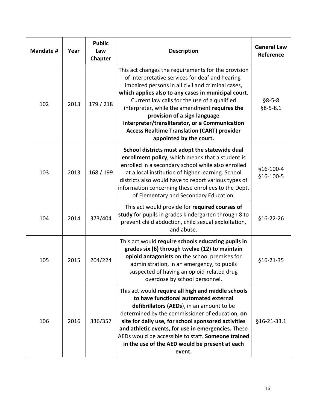| Mandate # | Year | <b>Public</b><br>Law<br>Chapter | <b>Description</b>                                                                                                                                                                                                                                                                                                                                                                                                                                                                      | <b>General Law</b><br>Reference |
|-----------|------|---------------------------------|-----------------------------------------------------------------------------------------------------------------------------------------------------------------------------------------------------------------------------------------------------------------------------------------------------------------------------------------------------------------------------------------------------------------------------------------------------------------------------------------|---------------------------------|
| 102       | 2013 | 179 / 218                       | This act changes the requirements for the provision<br>of interpretative services for deaf and hearing-<br>impaired persons in all civil and criminal cases,<br>which applies also to any cases in municipal court.<br>Current law calls for the use of a qualified<br>interpreter, while the amendment requires the<br>provision of a sign language<br>interpreter/transliterator, or a Communication<br><b>Access Realtime Translation (CART) provider</b><br>appointed by the court. | $§8 - 5 - 8$<br>$§8 - 5 - 8.1$  |
| 103       | 2013 | 168 / 199                       | School districts must adopt the statewide dual<br>enrollment policy, which means that a student is<br>enrolled in a secondary school while also enrolled<br>at a local institution of higher learning. School<br>districts also would have to report various types of<br>information concerning these enrollees to the Dept.<br>of Elementary and Secondary Education.                                                                                                                  | §16-100-4<br>§16-100-5          |
| 104       | 2014 | 373/404                         | This act would provide for required courses of<br>study for pupils in grades kindergarten through 8 to<br>prevent child abduction, child sexual exploitation,<br>and abuse.                                                                                                                                                                                                                                                                                                             | §16-22-26                       |
| 105       | 2015 | 204/224                         | This act would require schools educating pupils in<br>grades six (6) through twelve (12) to maintain<br>opioid antagonists on the school premises for<br>administration, in an emergency, to pupils<br>suspected of having an opioid-related drug<br>overdose by school personnel.                                                                                                                                                                                                      | \$16-21-35                      |
| 106       | 2016 | 336/357                         | This act would require all high and middle schools<br>to have functional automated external<br>defibrillators (AEDs), in an amount to be<br>determined by the commissioner of education, on<br>site for daily use, for school sponsored activities<br>and athletic events, for use in emergencies. These<br>AEDs would be accessible to staff. Someone trained<br>in the use of the AED would be present at each<br>event.                                                              | §16-21-33.1                     |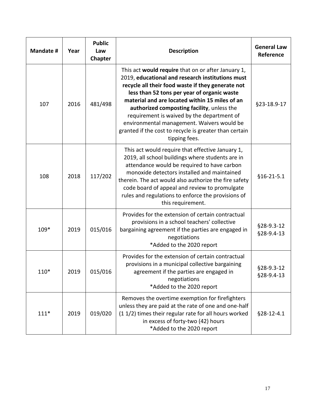| Mandate # | Year | <b>Public</b><br>Law<br>Chapter | <b>Description</b>                                                                                                                                                                                                                                                                                                                                                                                                                                                                | <b>General Law</b><br>Reference |
|-----------|------|---------------------------------|-----------------------------------------------------------------------------------------------------------------------------------------------------------------------------------------------------------------------------------------------------------------------------------------------------------------------------------------------------------------------------------------------------------------------------------------------------------------------------------|---------------------------------|
| 107       | 2016 | 481/498                         | This act would require that on or after January 1,<br>2019, educational and research institutions must<br>recycle all their food waste if they generate not<br>less than 52 tons per year of organic waste<br>material and are located within 15 miles of an<br>authorized composting facility, unless the<br>requirement is waived by the department of<br>environmental management. Waivers would be<br>granted if the cost to recycle is greater than certain<br>tipping fees. | §23-18.9-17                     |
| 108       | 2018 | 117/202                         | This act would require that effective January 1,<br>2019, all school buildings where students are in<br>attendance would be required to have carbon<br>monoxide detectors installed and maintained<br>therein. The act would also authorize the fire safety<br>code board of appeal and review to promulgate<br>rules and regulations to enforce the provisions of<br>this requirement.                                                                                           | $§16 - 21 - 5.1$                |
| 109*      | 2019 | 015/016                         | Provides for the extension of certain contractual<br>provisions in a school teachers' collective<br>bargaining agreement if the parties are engaged in<br>negotiations<br>*Added to the 2020 report                                                                                                                                                                                                                                                                               | §28-9.3-12<br>§28-9.4-13        |
| $110*$    | 2019 | 015/016                         | Provides for the extension of certain contractual<br>provisions in a municipal collective bargaining<br>agreement if the parties are engaged in<br>negotiations<br>*Added to the 2020 report                                                                                                                                                                                                                                                                                      | \$28-9.3-12<br>§28-9.4-13       |
| $111*$    | 2019 | 019/020                         | Removes the overtime exemption for firefighters<br>unless they are paid at the rate of one and one-half<br>(1 1/2) times their regular rate for all hours worked<br>in excess of forty-two (42) hours<br>*Added to the 2020 report                                                                                                                                                                                                                                                | §28-12-4.1                      |